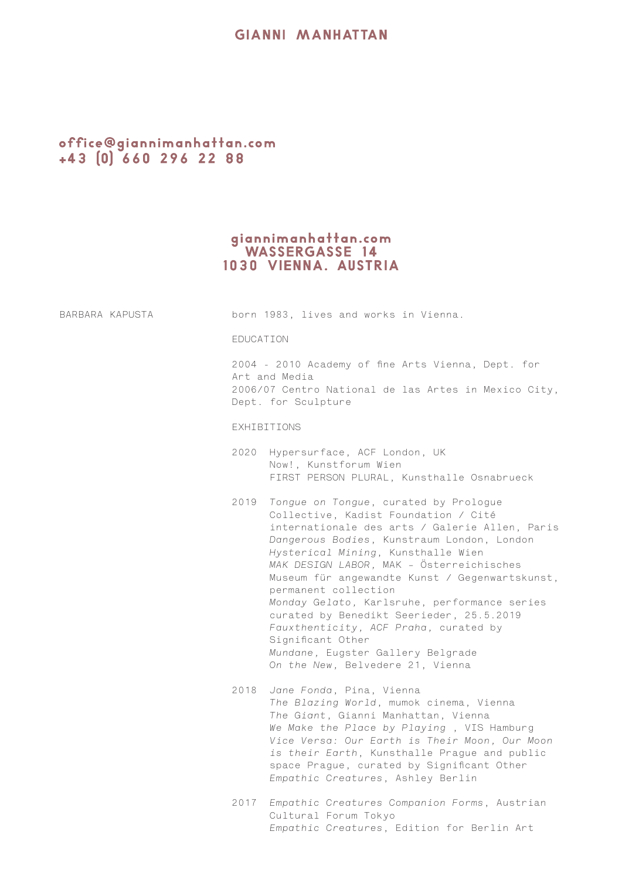## **GIANNI MANHATTAN**

# office@giannimanhattan.com<br>+43 (0) 660 296 22 88

# giannimanhattan.com<br>WASSERGASSE 14<br>1030 VIENNA. AUSTRIA

| BARBARA KAPUSTA |             | born 1983, lives and works in Vienna.                                                                                                                                                                                                                                                                                                                                                                                                                                                                                                                                             |
|-----------------|-------------|-----------------------------------------------------------------------------------------------------------------------------------------------------------------------------------------------------------------------------------------------------------------------------------------------------------------------------------------------------------------------------------------------------------------------------------------------------------------------------------------------------------------------------------------------------------------------------------|
|                 | EDUCATION   |                                                                                                                                                                                                                                                                                                                                                                                                                                                                                                                                                                                   |
|                 |             | 2004 - 2010 Academy of fine Arts Vienna, Dept. for<br>Art and Media<br>2006/07 Centro National de las Artes in Mexico City,<br>Dept. for Sculpture                                                                                                                                                                                                                                                                                                                                                                                                                                |
|                 | EXHIBITIONS |                                                                                                                                                                                                                                                                                                                                                                                                                                                                                                                                                                                   |
|                 |             | 2020 Hypersurface, ACF London, UK<br>Now!, Kunstforum Wien<br>FIRST PERSON PLURAL, Kunsthalle Osnabrueck                                                                                                                                                                                                                                                                                                                                                                                                                                                                          |
|                 |             | 2019 Tongue on Tongue, curated by Prologue<br>Collective, Kadist Foundation / Cité<br>internationale des arts / Galerie Allen, Paris<br>Dangerous Bodies, Kunstraum London, London<br>Hysterical Mining, Kunsthalle Wien<br>MAK DESIGN LABOR, MAK - Österreichisches<br>Museum für angewandte Kunst / Gegenwartskunst,<br>permanent collection<br>Monday Gelato, Karlsruhe, performance series<br>curated by Benedikt Seerieder, 25.5.2019<br>Fauxthenticity, ACF Praha, curated by<br>Significant Other<br>Mundane, Eugster Gallery Belgrade<br>On the New, Belvedere 21, Vienna |
|                 | 2018        | Jane Fonda, Pina, Vienna<br>The Blazing World, mumok cinema, Vienna<br>The Giant, Gianni Manhattan, Vienna<br>We Make the Place by Playing, VIS Hamburg<br>Vice Versa: Our Earth is Their Moon, Our Moon<br>is their Earth, Kunsthalle Prague and public<br>space Prague, curated by Significant Other<br>Empathic Creatures, Ashley Berlin                                                                                                                                                                                                                                       |
|                 |             | 2017 Empathic Creatures Companion Forms, Austrian<br>Cultural Forum Tokyo<br>Empathic Creatures, Edition for Berlin Art                                                                                                                                                                                                                                                                                                                                                                                                                                                           |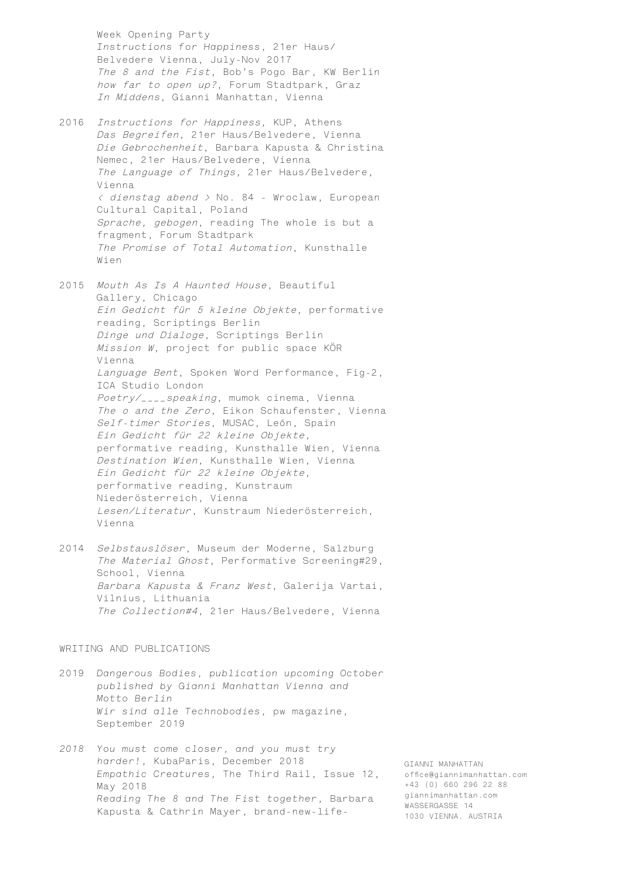Week Opening Party *Instructions for Happiness*, 21er Haus/ Belvedere Vienna, July-Nov 2017 The 8 and the Fist, Bob's Pogo Bar, KW Berlin how far to open up?, Forum Stadtpark, Graz In Middens, Gianni Manhattan, Vienna

- 2016 Instructions for Happiness, KUP, Athens Das Begreifen, 21er Haus/Belvedere, Vienna Die Gebrochenheit, Barbara Kapusta & Christina Nemec, 21er Haus/Belvedere, Vienna The Language of Things, 21er Haus/Belvedere, Vienna < dienstag abend > No. 84 - Wroclaw, European Cultural Capital, Poland Sprache, gebogen, reading The whole is but a fragment, Forum Stadtpark The Promise of Total Automation, Kunsthalle Wien
- 2015 Mouth As Is A Haunted House, Beautiful Gallery, Chicago Ein Gedicht für 5 kleine Objekte, performative reading, Scriptings Berlin Dinge und Dialoge, Scriptings Berlin Mission W, project for public space KÖR Vienna Language Bent, Spoken Word Performance, Fig-2, ICA Studio London Poetry/\_\_\_\_speaking, mumok cinema, Vienna The o and the Zero, Eikon Schaufenster, Vienna Self-timer Stories, MUSAC, León, Spain Ein Gedicht für 22 kleine Objekte, performative reading, Kunsthalle Wien, Vienna Destination Wien, Kunsthalle Wien, Vienna Ein Gedicht für 22 kleine Objekte, performative reading, Kunstraum Niederösterreich, Vienna Lesen/Literatur, Kunstraum Niederösterreich, Vienna
- 2014 Selbstauslöser, Museum der Moderne, Salzburg The Material Ghost, Performative Screening#29, School, Vienna Barbara Kapusta & Franz West, Galerija Vartai, Vilnius, Lithuania The Collection#4, 21er Haus/Belvedere, Vienna

### WRITING AND PUBLICATIONS

- 2019 *Dangerous Bodies, publication upcoming October published by Gianni Manhattan Vienna and Motto Berlin Wir sind alle Technobodies,* pw magazine, September 2019
- *2018 You must come closer, and you must try harder!,* KubaParis, December 2018 *Empathic Creatures,* The Third Rail, Issue 12, May 2018 *Reading The 8 and The Fist together,* Barbara Kapusta & Cathrin Mayer, brand-new-life-

GIANNI MANHATTAN office@giannimanhattan.com +43 (0) 660 296 22 88 giannimanhattan.com WASSERGASSE 14 1030 VIENNA. AUSTRIA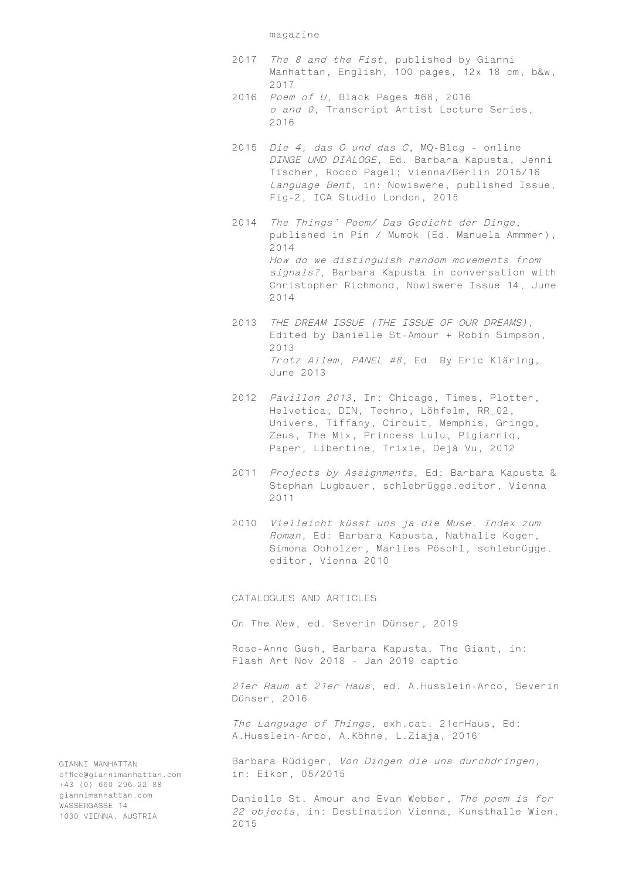#### magazine

- 2017 The 8 and the Fist, published by Gianni Manhattan, English, 100 pages, 12x 18 cm, b&w, 2017
- 2016 Poem of U, Black Pages #68, 2016 o and 0, Transcript Artist Lecture Series, 2016
- 2015 Die 4, das O und das C, MQ-Blog online DINGE UND DIALOGE, Ed. Barbara Kapusta, Jenni Tischer, Rocco Pagel; Vienna/Berlin 2015/16 Language Bent, in: Nowiswere, published Issue, Fig-2, ICA Studio London, 2015
- 2014 The Things´ Poem/ Das Gedicht der Dinge, published in Pin / Mumok (Ed. Manuela Ammmer), 2014 How do we distinguish random movements from signals?, Barbara Kapusta in conversation with Christopher Richmond, Nowiswere Issue 14, June 2014
- 2013 THE DREAM ISSUE (THE ISSUE OF OUR DREAMS), Edited by Danielle St-Amour + Robin Simpson, 2013 Trotz Allem, PANEL #8, Ed. By Eric Kläring, June 2013
- 2012 Pavillon 2013, In: Chicago, Times, Plotter, Helvetica, DIN, Techno, Löhfelm, RR\_02, Univers, Tiffany, Circuit, Memphis, Gringo, Zeus, The Mix, Princess Lulu, Pigiarniq, Paper, Libertine, Trixie, Dejà Vu, 2012
- 2011 Projects by Assignments, Ed: Barbara Kapusta & Stephan Lugbauer, schlebrügge.editor, Vienna 2011
- 2010 Vielleicht küsst uns ja die Muse. Index zum Roman, Ed: Barbara Kapusta, Nathalie Koger, Simona Obholzer, Marlies Pöschl, schlebrügge. editor, Vienna 2010

CATALOGUES AND ARTICLES

*On The New*, ed. Severin Dünser, 2019

Rose-Anne Gush, Barbara Kapusta, The Giant, in: Flash Art Nov 2018 - Jan 2019 captio

21er Raum at 21er Haus, ed. A.Husslein-Arco, Severin Dünser, 2016

The Language of Things, exh.cat. 21erHaus, Ed: A.Husslein-Arco, A.Köhne, L.Ziaja, 2016

Barbara Rüdiger, Von Dingen die uns durchdringen, in: Eikon, 05/2015

Danielle St. Amour and Evan Webber, The poem is for 22 objects, in: Destination Vienna, Kunsthalle Wien, 2015

GIANNI MANHATTAN office@giannimanhattan.com +43 (0) 660 296 22 88 giannimanhattan.com WASSERGASSE 14 1030 VIENNA. AUSTRIA